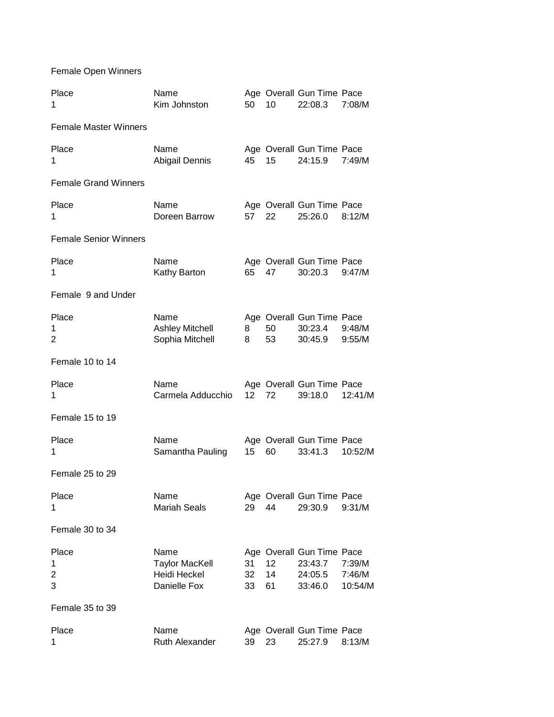Female Open Winners

| Place<br>1                        | Name<br>Kim Johnston                                          | 50              | 10             | Age Overall Gun Time Pace<br>22:08.3                       | 7:08/M                      |
|-----------------------------------|---------------------------------------------------------------|-----------------|----------------|------------------------------------------------------------|-----------------------------|
| <b>Female Master Winners</b>      |                                                               |                 |                |                                                            |                             |
| Place<br>1                        | Name<br>Abigail Dennis                                        | 45              | 15             | Age Overall Gun Time Pace<br>24:15.9                       | 7:49/M                      |
| <b>Female Grand Winners</b>       |                                                               |                 |                |                                                            |                             |
| Place<br>1                        | Name<br>Doreen Barrow                                         | 57              | 22             | Age Overall Gun Time Pace<br>25:26.0                       | 8:12/M                      |
| <b>Female Senior Winners</b>      |                                                               |                 |                |                                                            |                             |
| Place<br>1                        | Name<br>Kathy Barton                                          | 65              | 47             | Age Overall Gun Time Pace<br>30:20.3                       | 9:47/M                      |
| Female 9 and Under                |                                                               |                 |                |                                                            |                             |
| Place<br>1<br>2                   | Name<br><b>Ashley Mitchell</b><br>Sophia Mitchell             | 8<br>8          | 50<br>53       | Age Overall Gun Time Pace<br>30:23.4<br>30:45.9            | 9:48/M<br>9:55/M            |
| Female 10 to 14                   |                                                               |                 |                |                                                            |                             |
| Place<br>1                        | Name<br>Carmela Adducchio                                     | 12 <sup>7</sup> | 72             | Age Overall Gun Time Pace<br>39:18.0                       | 12:41/M                     |
| Female 15 to 19                   |                                                               |                 |                |                                                            |                             |
| Place<br>1                        | Name<br>Samantha Pauling                                      | 15              | 60             | Age Overall Gun Time Pace<br>33:41.3                       | 10:52/M                     |
| Female 25 to 29                   |                                                               |                 |                |                                                            |                             |
| Place<br>1                        | Name<br><b>Mariah Seals</b>                                   | 29              | 44             | Age Overall Gun Time Pace<br>29:30.9                       | 9:31/M                      |
| Female 30 to 34                   |                                                               |                 |                |                                                            |                             |
| Place<br>1<br>$\overline{c}$<br>3 | Name<br><b>Taylor MacKell</b><br>Heidi Heckel<br>Danielle Fox | 31<br>32<br>33  | 12<br>14<br>61 | Age Overall Gun Time Pace<br>23:43.7<br>24:05.5<br>33:46.0 | 7:39/M<br>7:46/M<br>10:54/M |
| Female 35 to 39                   |                                                               |                 |                |                                                            |                             |
| Place<br>1                        | Name<br>Ruth Alexander                                        | 39              | 23             | Age Overall Gun Time Pace<br>25:27.9                       | 8:13/M                      |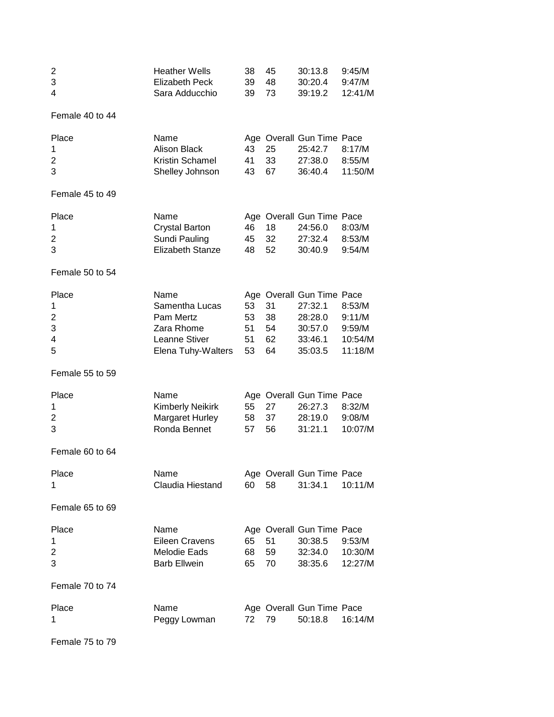| $\overline{\mathbf{c}}$<br>3<br>4           | <b>Heather Wells</b><br><b>Elizabeth Peck</b><br>Sara Adducchio                          | 38<br>39<br>39             | 45<br>48<br>73             | 30:13.8<br>30:20.4<br>39:19.2                                                    | 9:45/M<br>9:47/M<br>12:41/M                      |
|---------------------------------------------|------------------------------------------------------------------------------------------|----------------------------|----------------------------|----------------------------------------------------------------------------------|--------------------------------------------------|
| Female 40 to 44                             |                                                                                          |                            |                            |                                                                                  |                                                  |
| Place<br>1<br>2<br>3                        | Name<br><b>Alison Black</b><br>Kristin Schamel<br>Shelley Johnson                        | 43<br>41<br>43             | 25<br>33<br>67             | Age Overall Gun Time Pace<br>25:42.7<br>27:38.0<br>36:40.4                       | 8:17/M<br>8:55/M<br>11:50/M                      |
| Female 45 to 49                             |                                                                                          |                            |                            |                                                                                  |                                                  |
| Place<br>1<br>2<br>3                        | Name<br><b>Crystal Barton</b><br>Sundi Pauling<br>Elizabeth Stanze                       | 46<br>45<br>48             | 18<br>32<br>52             | Age Overall Gun Time Pace<br>24:56.0<br>27:32.4<br>30:40.9                       | 8:03/M<br>8:53/M<br>9:54/M                       |
| Female 50 to 54                             |                                                                                          |                            |                            |                                                                                  |                                                  |
| Place<br>1<br>$\overline{2}$<br>3<br>4<br>5 | Name<br>Samentha Lucas<br>Pam Mertz<br>Zara Rhome<br>Leanne Stiver<br>Elena Tuhy-Walters | 53<br>53<br>51<br>51<br>53 | 31<br>38<br>54<br>62<br>64 | Age Overall Gun Time Pace<br>27:32.1<br>28:28.0<br>30:57.0<br>33:46.1<br>35:03.5 | 8:53/M<br>9:11/M<br>9:59/M<br>10:54/M<br>11:18/M |
| Female 55 to 59                             |                                                                                          |                            |                            |                                                                                  |                                                  |
| Place<br>1<br>2<br>3                        | Name<br><b>Kimberly Neikirk</b><br>Margaret Hurley<br>Ronda Bennet                       | 55<br>58<br>57             | 27<br>37<br>56             | Age Overall Gun Time Pace<br>26:27.3<br>28:19.0<br>31:21.1                       | 8:32/M<br>9:08/M<br>10:07/M                      |
| Female 60 to 64                             |                                                                                          |                            |                            |                                                                                  |                                                  |
| Place<br>1                                  | Name<br>Claudia Hiestand                                                                 | 60                         | 58                         | Age Overall Gun Time Pace<br>31:34.1                                             | 10:11/M                                          |
| Female 65 to 69                             |                                                                                          |                            |                            |                                                                                  |                                                  |
| Place<br>1<br>$\overline{2}$<br>3           | Name<br><b>Eileen Cravens</b><br><b>Melodie Eads</b><br><b>Barb Ellwein</b>              | 65<br>68<br>65             | 51<br>59<br>70             | Age Overall Gun Time Pace<br>30:38.5<br>32:34.0<br>38:35.6                       | 9:53/M<br>10:30/M<br>12:27/M                     |
| Female 70 to 74                             |                                                                                          |                            |                            |                                                                                  |                                                  |
| Place<br>1                                  | Name<br>Peggy Lowman                                                                     | 72                         | 79                         | Age Overall Gun Time Pace<br>50:18.8                                             | 16:14/M                                          |

Female 75 to 79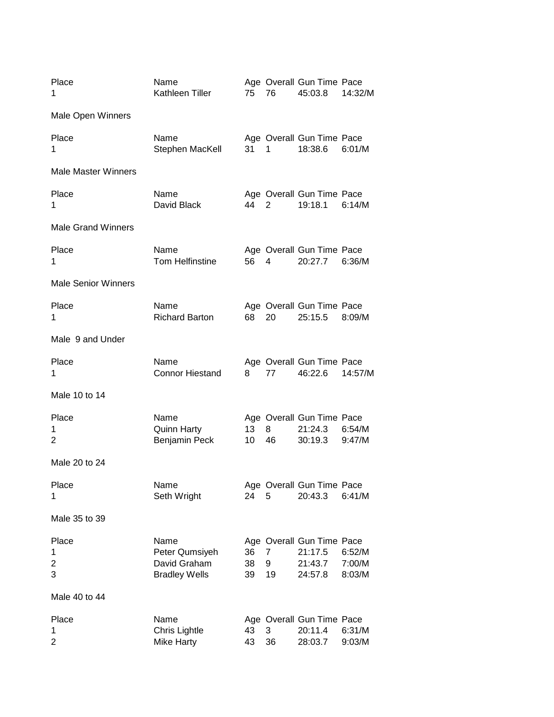| Place<br>1                 | Name<br>Kathleen Tiller                                        | 75             | 76           | Age Overall Gun Time Pace<br>45:03.8                       | 14:32/M                    |
|----------------------------|----------------------------------------------------------------|----------------|--------------|------------------------------------------------------------|----------------------------|
| Male Open Winners          |                                                                |                |              |                                                            |                            |
| Place<br>1                 | Name<br>Stephen MacKell                                        | 31             | 1            | Age Overall Gun Time Pace<br>18:38.6                       | 6:01/M                     |
| <b>Male Master Winners</b> |                                                                |                |              |                                                            |                            |
| Place<br>1                 | Name<br>David Black                                            | 44             | 2            | Age Overall Gun Time Pace<br>19:18.1                       | 6:14/M                     |
| <b>Male Grand Winners</b>  |                                                                |                |              |                                                            |                            |
| Place<br>1                 | Name<br><b>Tom Helfinstine</b>                                 | 56             | 4            | Age Overall Gun Time Pace<br>20:27.7                       | 6:36/M                     |
| <b>Male Senior Winners</b> |                                                                |                |              |                                                            |                            |
| Place<br>1                 | Name<br><b>Richard Barton</b>                                  | 68             | 20           | Age Overall Gun Time Pace<br>25:15.5                       | 8:09/M                     |
| Male 9 and Under           |                                                                |                |              |                                                            |                            |
| Place<br>1                 | Name<br><b>Connor Hiestand</b>                                 | 8              | 77           | Age Overall Gun Time Pace<br>46:22.6                       | 14:57/M                    |
| Male 10 to 14              |                                                                |                |              |                                                            |                            |
| Place<br>1<br>2            | Name<br><b>Quinn Harty</b><br>Benjamin Peck                    | 13<br>10       | 8<br>46      | Age Overall Gun Time Pace<br>21:24.3<br>30:19.3            | 6:54/M<br>9:47/M           |
| Male 20 to 24              |                                                                |                |              |                                                            |                            |
| Place<br>1                 | Name<br>Seth Wright                                            | 24             | 5            | Age Overall Gun Time Pace<br>20:43.3                       | 6:41/M                     |
| Male 35 to 39              |                                                                |                |              |                                                            |                            |
| Place<br>1<br>2<br>3       | Name<br>Peter Qumsiyeh<br>David Graham<br><b>Bradley Wells</b> | 36<br>38<br>39 | 7<br>9<br>19 | Age Overall Gun Time Pace<br>21:17.5<br>21:43.7<br>24:57.8 | 6:52/M<br>7:00/M<br>8:03/M |
| Male 40 to 44              |                                                                |                |              |                                                            |                            |
| Place<br>1<br>2            | Name<br>Chris Lightle<br>Mike Harty                            | 43<br>43       | 3<br>36      | Age Overall Gun Time Pace<br>20:11.4<br>28:03.7            | 6:31/M<br>9:03/M           |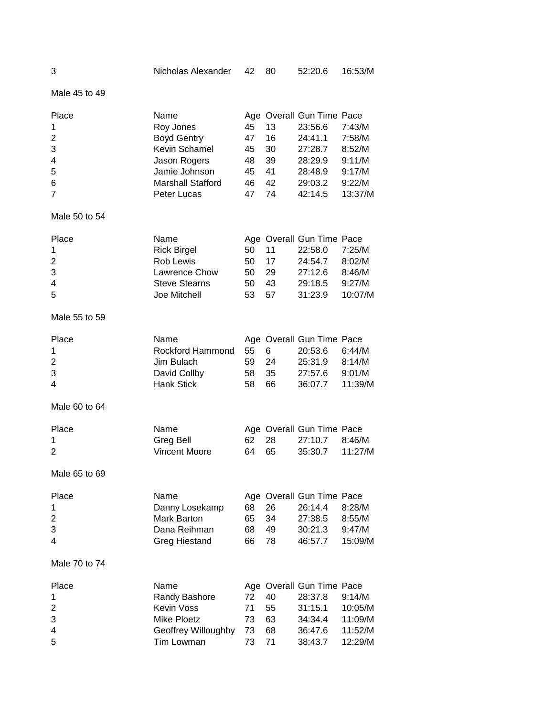| 3                                                                  | Nicholas Alexander                                                                                                                   | 42                                     | 80                                     | 52:20.6                                                                                                | 16:53/M                                                             |
|--------------------------------------------------------------------|--------------------------------------------------------------------------------------------------------------------------------------|----------------------------------------|----------------------------------------|--------------------------------------------------------------------------------------------------------|---------------------------------------------------------------------|
| Male 45 to 49                                                      |                                                                                                                                      |                                        |                                        |                                                                                                        |                                                                     |
| Place<br>1<br>$\overline{2}$<br>3<br>4<br>5<br>6<br>$\overline{7}$ | Name<br>Roy Jones<br><b>Boyd Gentry</b><br>Kevin Schamel<br>Jason Rogers<br>Jamie Johnson<br><b>Marshall Stafford</b><br>Peter Lucas | 45<br>47<br>45<br>48<br>45<br>46<br>47 | 13<br>16<br>30<br>39<br>41<br>42<br>74 | Age Overall Gun Time Pace<br>23:56.6<br>24:41.1<br>27:28.7<br>28:29.9<br>28:48.9<br>29:03.2<br>42:14.5 | 7:43/M<br>7:58/M<br>8:52/M<br>9:11/M<br>9:17/M<br>9:22/M<br>13:37/M |
| Male 50 to 54                                                      |                                                                                                                                      |                                        |                                        |                                                                                                        |                                                                     |
| Place<br>1<br>$\overline{2}$<br>3<br>$\overline{\mathbf{4}}$<br>5  | Name<br><b>Rick Birgel</b><br>Rob Lewis<br>Lawrence Chow<br><b>Steve Stearns</b><br>Joe Mitchell                                     | 50<br>50<br>50<br>50<br>53             | 11<br>17<br>29<br>43<br>57             | Age Overall Gun Time Pace<br>22:58.0<br>24:54.7<br>27:12.6<br>29:18.5<br>31:23.9                       | 7:25/M<br>8:02/M<br>8:46/M<br>9:27/M<br>10:07/M                     |
| Male 55 to 59                                                      |                                                                                                                                      |                                        |                                        |                                                                                                        |                                                                     |
| Place<br>1<br>$\overline{2}$<br>3<br>$\overline{4}$                | Name<br><b>Rockford Hammond</b><br>Jim Bulach<br>David Collby<br><b>Hank Stick</b>                                                   | 55<br>59<br>58<br>58                   | 6<br>24<br>35<br>66                    | Age Overall Gun Time Pace<br>20:53.6<br>25:31.9<br>27:57.6<br>36:07.7                                  | 6:44/M<br>8:14/M<br>9:01/M<br>11:39/M                               |
| Male 60 to 64                                                      |                                                                                                                                      |                                        |                                        |                                                                                                        |                                                                     |
| Place<br>1<br>$\overline{2}$                                       | Name<br>Greg Bell<br><b>Vincent Moore</b>                                                                                            | 62<br>64                               | 28<br>65                               | Age Overall Gun Time Pace<br>27:10.7<br>35:30.7                                                        | 8:46/M<br>11:27/M                                                   |
| Male 65 to 69                                                      |                                                                                                                                      |                                        |                                        |                                                                                                        |                                                                     |
| Place<br>1<br>$\overline{2}$<br>3<br>$\overline{4}$                | Name<br>Danny Losekamp<br>Mark Barton<br>Dana Reihman<br><b>Greg Hiestand</b>                                                        | 68<br>65<br>68<br>66                   | 26<br>34<br>49<br>78                   | Age Overall Gun Time Pace<br>26:14.4<br>27:38.5<br>30:21.3<br>46:57.7                                  | 8:28/M<br>8:55/M<br>9:47/M<br>15:09/M                               |
| Male 70 to 74                                                      |                                                                                                                                      |                                        |                                        |                                                                                                        |                                                                     |
| Place<br>1<br>$\overline{2}$<br>3<br>4<br>5                        | Name<br>Randy Bashore<br><b>Kevin Voss</b><br><b>Mike Ploetz</b><br>Geoffrey Willoughby<br>Tim Lowman                                | 72<br>71<br>73<br>73<br>73             | 40<br>55<br>63<br>68<br>71             | Age Overall Gun Time Pace<br>28:37.8<br>31:15.1<br>34:34.4<br>36:47.6<br>38:43.7                       | 9:14/M<br>10:05/M<br>11:09/M<br>11:52/M<br>12:29/M                  |